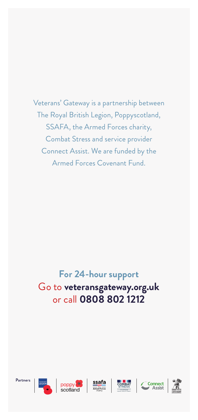Veterans' Gateway is a partnership between The Royal British Legion, Poppyscotland, SSAFA, the Armed Forces charity, Combat Stress and service provider Connect Assist. We are funded by the Armed Forces Covenant Fund.

## **For 24-hour support** Go to **veteransgateway.org.uk** or call **0808 802 1212**

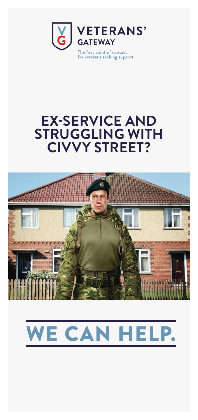

## **EX-SERVICE AND STRUGGLING WITH CIVVY STREET?**



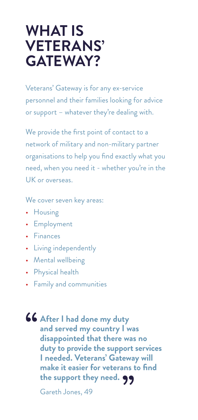## **WHAT IS VETERANS' GATEWAY?**

Veterans' Gateway is for any ex-service personnel and their families looking for advice or support – whatever they're dealing with.

We provide the first point of contact to a network of military and non-military partner organisations to help you find exactly what you need, when you need it - whether you're in the UK or overseas.

We cover seven key areas:

- Housing
- Employment
- Finances
- Living independently
- Mental wellbeing
- Physical health
- Family and communities
- **46 After I had done my duty**<br>and served my country I w<br>disappointed that there wa **and served my country I was disappointed that there was no duty to provide the support services I needed. Veterans' Gateway will make it easier for veterans to find**  make it easier for veterans<br>the support they need. **99** Gareth Jones, 49